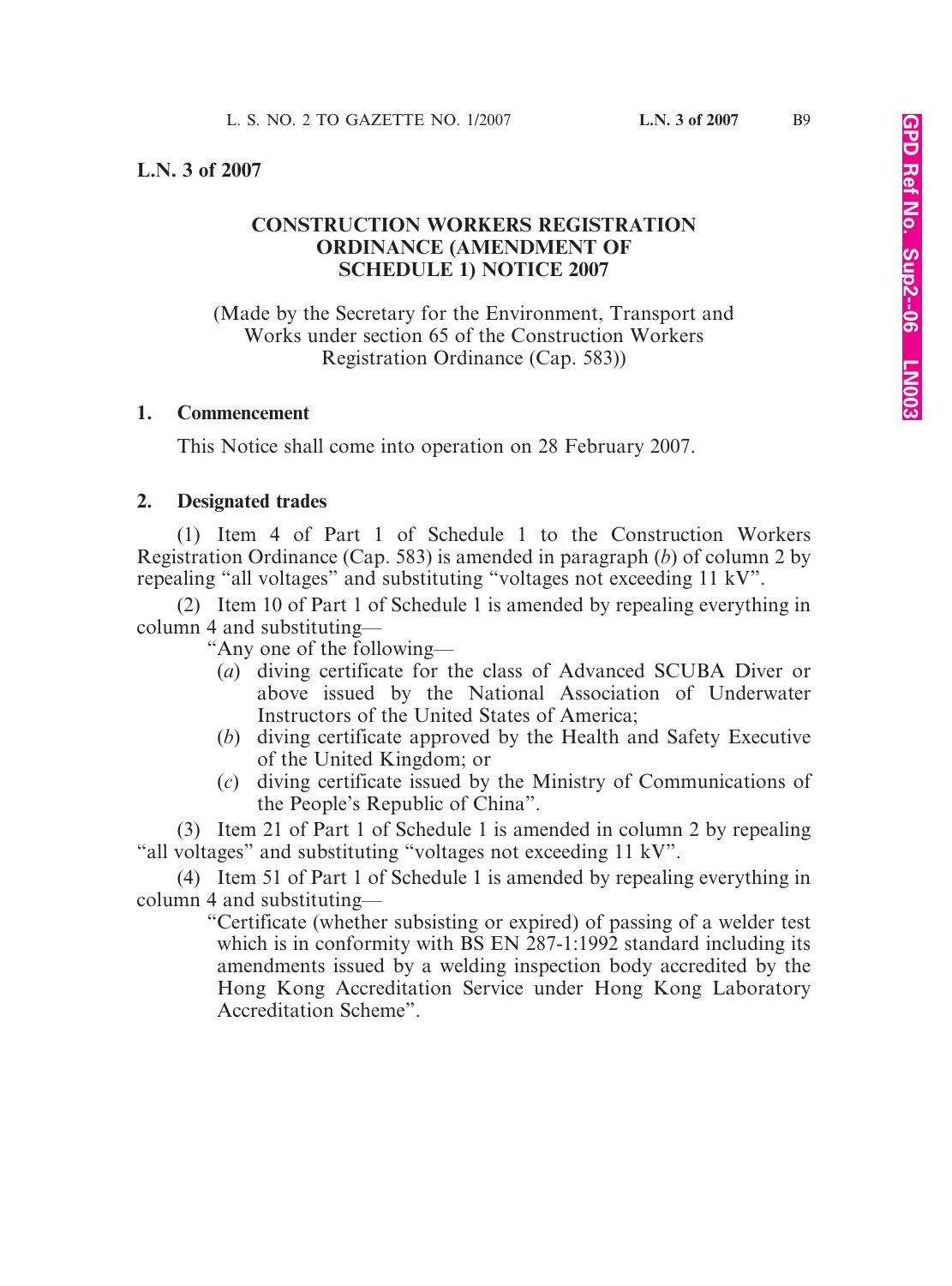## **L.N. 3 of 2007**

# **CONSTRUCTION WORKERS REGISTRATION ORDINANCE (AMENDMENT OF SCHEDULE 1) NOTICE 2007**

(Made by the Secretary for the Environment, Transport and Works under section 65 of the Construction Workers Registration Ordinance (Cap. 583))

#### **1. Commencement**

This Notice shall come into operation on 28 February 2007.

### **2. Designated trades**

(1) Item 4 of Part 1 of Schedule 1 to the Construction Workers Registration Ordinance (Cap. 583) is amended in paragraph (*b*) of column 2 by repealing "all voltages" and substituting "voltages not exceeding 11 kV".

(2) Item 10 of Part 1 of Schedule 1 is amended by repealing everything in column 4 and substituting—

"Any one of the following—

- (*a*) diving certificate for the class of Advanced SCUBA Diver or above issued by the National Association of Underwater Instructors of the United States of America;
- (*b*) diving certificate approved by the Health and Safety Executive of the United Kingdom; or
- (*c*) diving certificate issued by the Ministry of Communications of the People's Republic of China".

(3) Item 21 of Part 1 of Schedule 1 is amended in column 2 by repealing "all voltages" and substituting "voltages not exceeding 11 kV".

(4) Item 51 of Part 1 of Schedule 1 is amended by repealing everything in column 4 and substituting—

> "Certificate (whether subsisting or expired) of passing of a welder test which is in conformity with BS EN 287-1:1992 standard including its amendments issued by a welding inspection body accredited by the Hong Kong Accreditation Service under Hong Kong Laboratory Accreditation Scheme".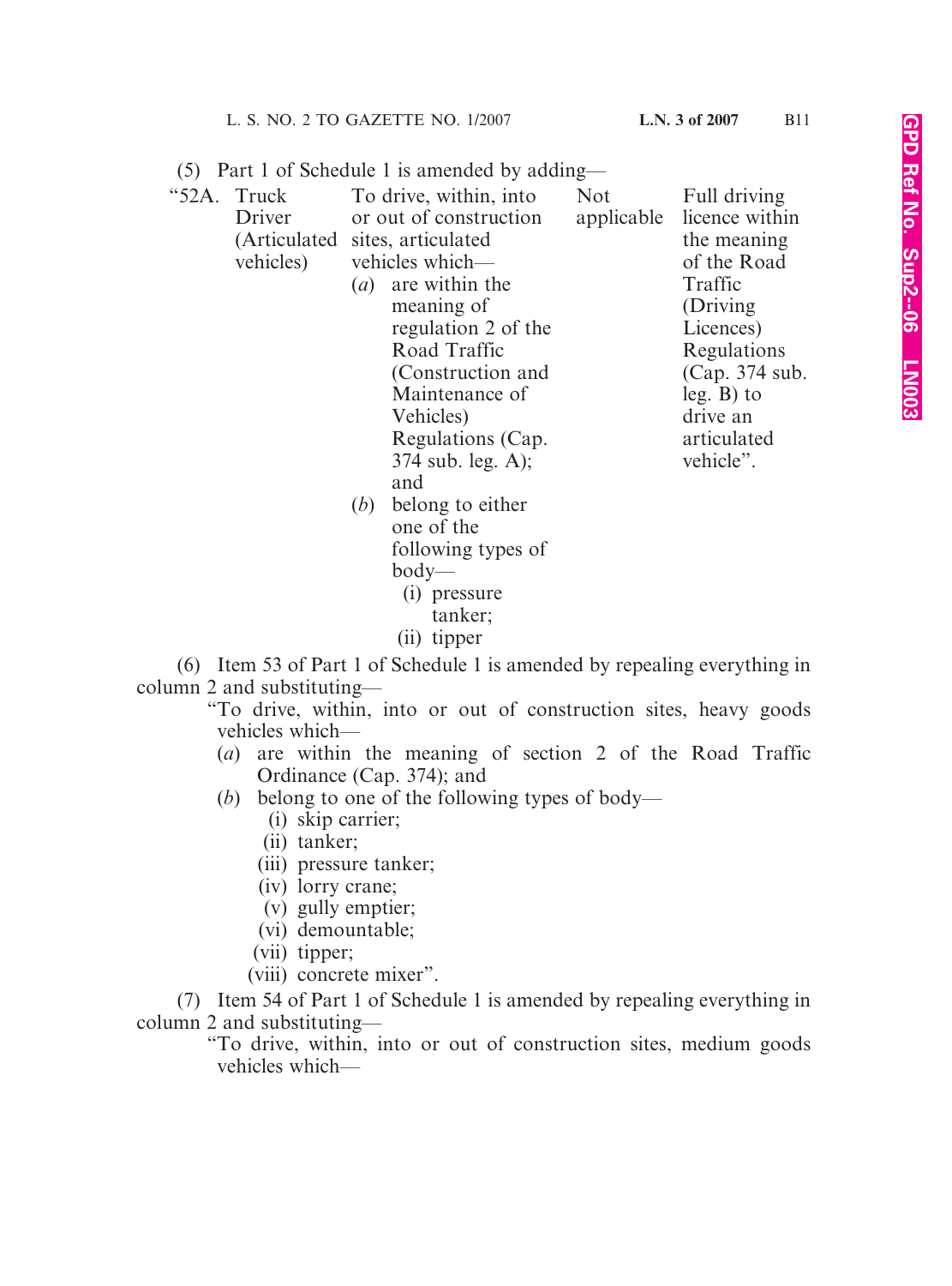| (5) Part 1 of Schedule 1 is amended by adding— |  |  |  |  |  |  |  |
|------------------------------------------------|--|--|--|--|--|--|--|
|------------------------------------------------|--|--|--|--|--|--|--|

| "52A. Truck |                                 | To drive, within, into | <b>Not</b> | Full driving   |
|-------------|---------------------------------|------------------------|------------|----------------|
| Driver      | or out of construction          |                        | applicable | licence within |
|             | (Articulated sites, articulated |                        |            | the meaning    |
| vehicles)   |                                 | vehicles which—        |            | of the Road    |
|             | $\left( a\right)$               | are within the         |            | Traffic        |
|             |                                 | meaning of             |            | (Driving)      |
|             |                                 | regulation 2 of the    |            | Licences)      |
|             |                                 | Road Traffic           |            | Regulations    |
|             |                                 | (Construction and      |            | (Cap. 374 sub. |
|             |                                 | Maintenance of         |            | $leg. B)$ to   |
|             |                                 | Vehicles)              |            | drive an       |
|             |                                 | Regulations (Cap.      |            | articulated    |
|             |                                 | $374$ sub. leg. A);    |            | vehicle".      |
|             |                                 | and                    |            |                |
|             | ( <i>b</i> )                    | belong to either       |            |                |
|             |                                 | one of the             |            |                |
|             |                                 | following types of     |            |                |

- body— (i) pressure
	- tanker;
- (ii) tipper

(6) Item 53 of Part 1 of Schedule 1 is amended by repealing everything in column 2 and substituting—

"To drive, within, into or out of construction sites, heavy goods vehicles which—

- (*a*) are within the meaning of section 2 of the Road Traffic Ordinance (Cap. 374); and
- (*b*) belong to one of the following types of body—
	- (i) skip carrier;
	- (ii) tanker;
	- (iii) pressure tanker;
	- (iv) lorry crane;
	- (v) gully emptier;
	- (vi) demountable;
	- (vii) tipper;
	- (viii) concrete mixer".

(7) Item 54 of Part 1 of Schedule 1 is amended by repealing everything in column 2 and substituting—

"To drive, within, into or out of construction sites, medium goods vehicles which—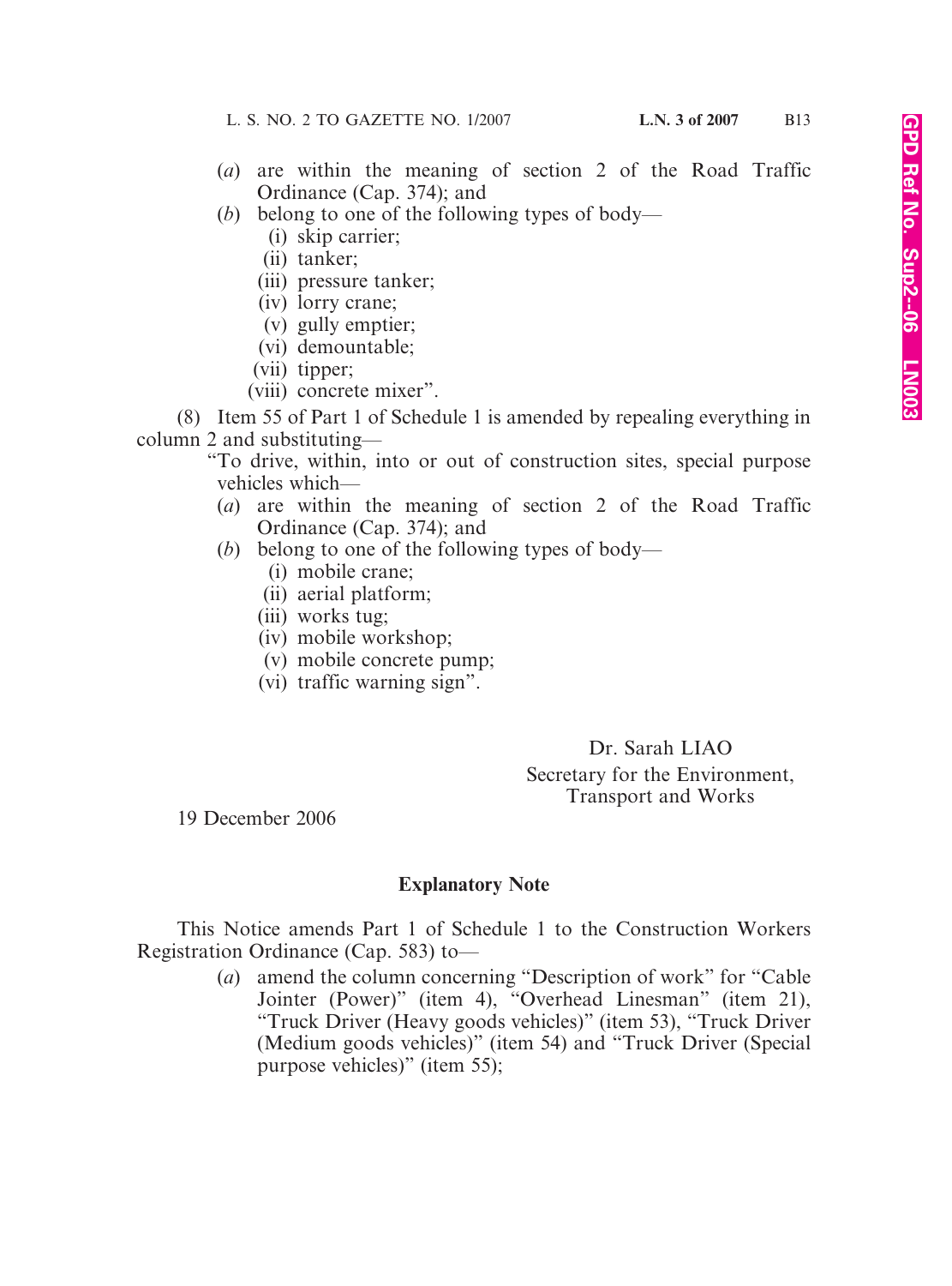- (*a*) are within the meaning of section 2 of the Road Traffic Ordinance (Cap. 374); and
- (*b*) belong to one of the following types of body—
	- (i) skip carrier;
	- (ii) tanker;
	- (iii) pressure tanker;
	- (iv) lorry crane;
	- (v) gully emptier;
	- (vi) demountable;
	- (vii) tipper;
	- (viii) concrete mixer".

(8) Item 55 of Part 1 of Schedule 1 is amended by repealing everything in column 2 and substituting—

"To drive, within, into or out of construction sites, special purpose vehicles which—

- (*a*) are within the meaning of section 2 of the Road Traffic Ordinance (Cap. 374); and
- (*b*) belong to one of the following types of body—
	- (i) mobile crane;
	- (ii) aerial platform;
	- (iii) works tug;
	- (iv) mobile workshop;
	- (v) mobile concrete pump;
	- (vi) traffic warning sign".

Dr. Sarah LIAO Secretary for the Environment, Transport and Works

19 December 2006

# **Explanatory Note**

This Notice amends Part 1 of Schedule 1 to the Construction Workers Registration Ordinance (Cap. 583) to—

> (*a*) amend the column concerning "Description of work" for "Cable Jointer (Power)" (item 4), "Overhead Linesman" (item 21), "Truck Driver (Heavy goods vehicles)" (item 53), "Truck Driver (Medium goods vehicles)" (item 54) and "Truck Driver (Special purpose vehicles)" (item 55);